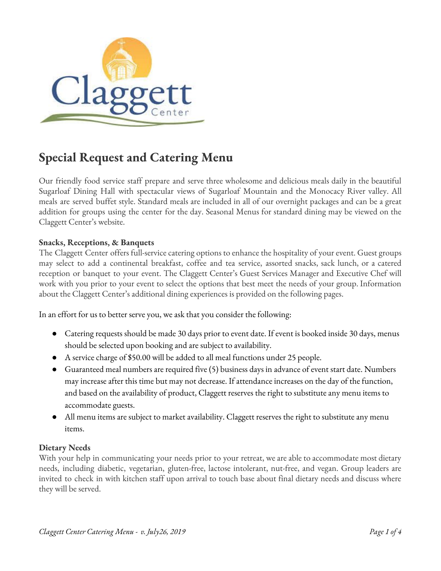

# **Special Request and Catering Menu**

Our friendly food service staff prepare and serve three wholesome and delicious meals daily in the beautiful Sugarloaf Dining Hall with spectacular views of Sugarloaf Mountain and the Monocacy River valley. All meals are served buffet style. Standard meals are included in all of our overnight packages and can be a great addition for groups using the center for the day. Seasonal Menus for standard dining may be viewed on the Claggett Center's website.

## **Snacks, Receptions, & Banquets**

The Claggett Center offers full-service catering options to enhance the hospitality of your event. Guest groups may select to add a continental breakfast, coffee and tea service, assorted snacks, sack lunch, or a catered reception or banquet to your event. The Claggett Center's Guest Services Manager and Executive Chef will work with you prior to your event to select the options that best meet the needs of your group. Information about the Claggett Center's additional dining experiences is provided on the following pages.

In an effort for us to better serve you, we ask that you consider the following:

- Catering requests should be made 30 days prior to event date. If event is booked inside 30 days, menus should be selected upon booking and are subject to availability.
- A service charge of \$50.00 will be added to all meal functions under 25 people.
- Guaranteed meal numbers are required five (5) business days in advance of event start date. Numbers may increase after this time but may not decrease. If attendance increases on the day of the function, and based on the availability of product, Claggett reserves the right to substitute any menu items to accommodate guests.
- All menu items are subject to market availability. Claggett reserves the right to substitute any menu items.

## **Dietary Needs**

With your help in communicating your needs prior to your retreat, we are able to accommodate most dietary needs, including diabetic, vegetarian, gluten-free, lactose intolerant, nut-free, and vegan. Group leaders are invited to check in with kitchen staff upon arrival to touch base about final dietary needs and discuss where they will be served.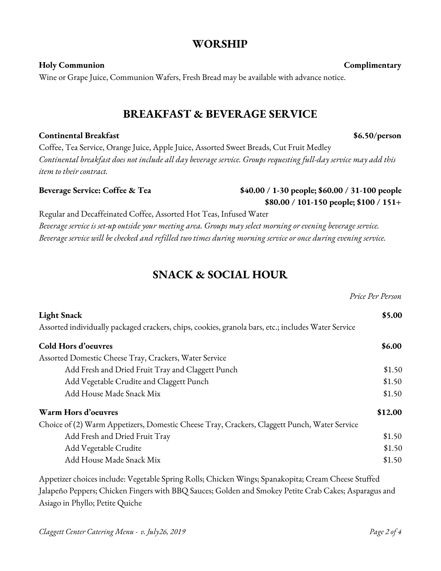# **WORSHIP**

**Holy Communion Complimentary** Wine or Grape Juice, Communion Wafers, Fresh Bread may be available with advance notice.

# **BREAKFAST & BEVERAGE SERVICE**

## **Continental Breakfast \$6.50/person**

Coffee, Tea Service, Orange Juice, Apple Juice, Assorted Sweet Breads, Cut Fruit Medley *Continental breakfast does not include all day beverage service. Groups requesting full-day service may add this item to their contract.*

# **Beverage Service: Coffee & Tea \$40.00 / 1-30 people; \$60.00 / 31-100 people**

Regular and Decaffeinated Coffee, Assorted Hot Teas, Infused Water *Beverage service is set-up outside your meeting area. Groups may select morning or evening beverage service.* Beverage service will be checked and refilled two times during morning service or once during evening service.

# **SNACK & SOCIAL HOUR**

*Price Per Person* **Light Snack \$5.00** Assorted individually packaged crackers, chips, cookies, granola bars, etc.; includes Water Service **Cold Hors d'oeuvres \$6.00** Assorted Domestic Cheese Tray, Crackers, Water Service Add Fresh and Dried Fruit Tray and Claggett Punch  $$1.50$ Add Vegetable Crudite and Claggett Punch  $$1.50$ Add House Made Snack Mix \$1.50 **Warm Hors d'oeuvres \$12.00** Choice of (2) Warm Appetizers, Domestic Cheese Tray, Crackers, Claggett Punch, Water Service Add Fresh and Dried Fruit Tray \$1.50 Add Vegetable Crudite  $$1.50$ Add House Made Snack Mix  $$1.50$ 

Appetizer choices include: Vegetable Spring Rolls; Chicken Wings; Spanakopita; Cream Cheese Stuffed Jalapeño Peppers; Chicken Fingers with BBQ Sauces; Golden and Smokey Petite Crab Cakes; Asparagus and Asiago in Phyllo; Petite Quiche

**\$80.00 / 101-150 people; \$100 / 151+**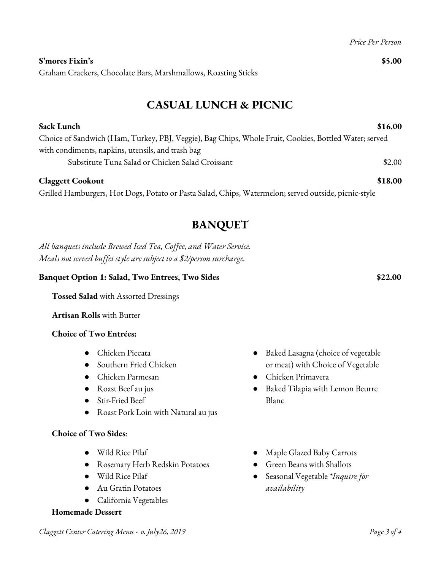Graham Crackers, Chocolate Bars, Marshmallows, Roasting Sticks

# **CASUAL LUNCH & PICNIC**

**Sack Lunch \$16.00**

# Choice of Sandwich (Ham, Turkey, PBJ, Veggie), Bag Chips, Whole Fruit, Cookies, Bottled Water; served with condiments, napkins, utensils, and trash bag Substitute Tuna Salad or Chicken Salad Croissant \$2.00

## **Claggett Cookout \$18.00**

Grilled Hamburgers, Hot Dogs, Potato or Pasta Salad, Chips, Watermelon; served outside, picnic-style

# **BANQUET**

*All banquets include Brewed Iced Tea, Cof ee, and Water Service. Meals not served buf et style are subject to a \$2/person surcharge.*

# **Banquet Option 1: Salad, Two Entrees, Two Sides \$22.00**

**Tossed Salad** with Assorted Dressings

**Artisan Rolls** with Butter

## **Choice of Two Entrées:**

- Chicken Piccata
- Southern Fried Chicken
- Chicken Parmesan
- Roast Beef au jus
- Stir-Fried Beef
- Roast Pork Loin with Natural au jus

## **Choice of Two Sides**:

- Wild Rice Pilaf
- Rosemary Herb Redskin Potatoes
- Wild Rice Pilaf
- Au Gratin Potatoes
- California Vegetables

## **Homemade Dessert**

- Baked Lasagna (choice of vegetable or meat) with Choice of Vegetable
- Chicken Primavera
- Baked Tilapia with Lemon Beurre Blanc
- Maple Glazed Baby Carrots
- Green Beans with Shallots
- Seasonal Vegetable *\*Inquire for availability*